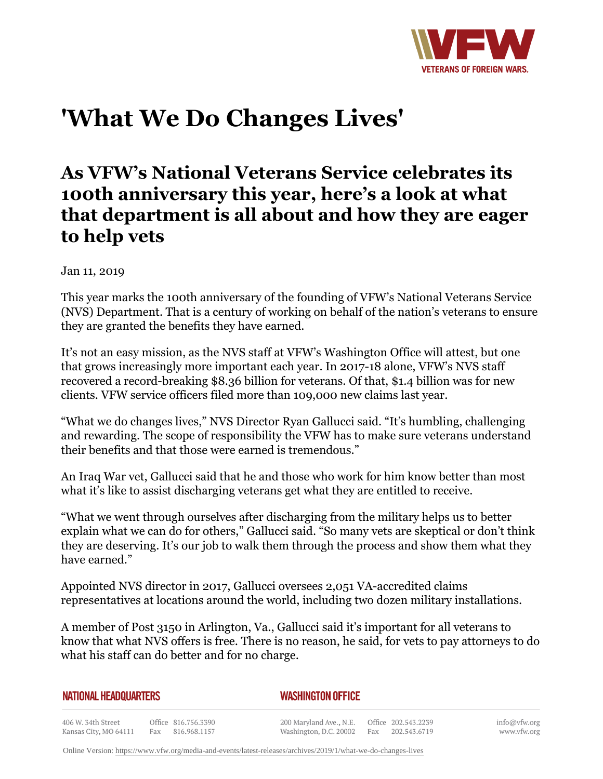

# **'What We Do Changes Lives'**

# **As VFW's National Veterans Service celebrates its 100th anniversary this year, here's a look at what that department is all about and how they are eager to help vets**

Jan 11, 2019

This year marks the 100th anniversary of the founding of VFW's National Veterans Service (NVS) Department. That is a century of working on behalf of the nation's veterans to ensure they are granted the benefits they have earned.

It's not an easy mission, as the NVS staff at VFW's Washington Office will attest, but one that grows increasingly more important each year. In 2017-18 alone, VFW's NVS staff recovered a record-breaking \$8.36 billion for veterans. Of that, \$1.4 billion was for new clients. VFW service officers filed more than 109,000 new claims last year.

"What we do changes lives," NVS Director Ryan Gallucci said. "It's humbling, challenging and rewarding. The scope of responsibility the VFW has to make sure veterans understand their benefits and that those were earned is tremendous."

An Iraq War vet, Gallucci said that he and those who work for him know better than most what it's like to assist discharging veterans get what they are entitled to receive.

"What we went through ourselves after discharging from the military helps us to better explain what we can do for others," Gallucci said. "So many vets are skeptical or don't think they are deserving. It's our job to walk them through the process and show them what they have earned."

Appointed NVS director in 2017, Gallucci oversees 2,051 VA-accredited claims representatives at locations around the world, including two dozen military installations.

A member of Post 3150 in Arlington, Va., Gallucci said it's important for all veterans to know that what NVS offers is free. There is no reason, he said, for vets to pay attorneys to do what his staff can do better and for no charge.

| <b>NATIONAL HEADQUARTERS</b> |  |
|------------------------------|--|
|------------------------------|--|

*WASHINGTON OFFICE* 

406 W. 34th Street Office 816.756.3390 Fax 816.968.1157 Kansas City, MO 64111

200 Maryland Ave., N.E. Washington, D.C. 20002

Office 202.543.2239 Fax 202.543.6719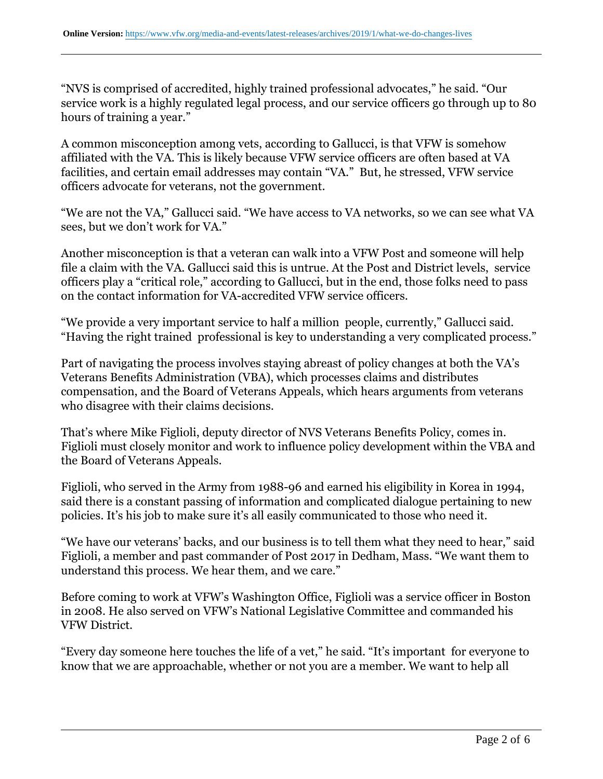"NVS is comprised of accredited, highly trained professional advocates," he said. "Our service work is a highly regulated legal process, and our service officers go through up to 80 hours of training a year."

A common misconception among vets, according to Gallucci, is that VFW is somehow affiliated with the VA. This is likely because VFW service officers are often based at VA facilities, and certain email addresses may contain "VA." But, he stressed, VFW service officers advocate for veterans, not the government.

"We are not the VA," Gallucci said. "We have access to VA networks, so we can see what VA sees, but we don't work for VA."

Another misconception is that a veteran can walk into a VFW Post and someone will help file a claim with the VA. Gallucci said this is untrue. At the Post and District levels, service officers play a "critical role," according to Gallucci, but in the end, those folks need to pass on the contact information for VA-accredited VFW service officers.

"We provide a very important service to half a million people, currently," Gallucci said. "Having the right trained professional is key to understanding a very complicated process."

Part of navigating the process involves staying abreast of policy changes at both the VA's Veterans Benefits Administration (VBA), which processes claims and distributes compensation, and the Board of Veterans Appeals, which hears arguments from veterans who disagree with their claims decisions.

That's where Mike Figlioli, deputy director of NVS Veterans Benefits Policy, comes in. Figlioli must closely monitor and work to influence policy development within the VBA and the Board of Veterans Appeals.

Figlioli, who served in the Army from 1988-96 and earned his eligibility in Korea in 1994, said there is a constant passing of information and complicated dialogue pertaining to new policies. It's his job to make sure it's all easily communicated to those who need it.

"We have our veterans' backs, and our business is to tell them what they need to hear," said Figlioli, a member and past commander of Post 2017 in Dedham, Mass. "We want them to understand this process. We hear them, and we care."

Before coming to work at VFW's Washington Office, Figlioli was a service officer in Boston in 2008. He also served on VFW's National Legislative Committee and commanded his VFW District.

"Every day someone here touches the life of a vet," he said. "It's important for everyone to know that we are approachable, whether or not you are a member. We want to help all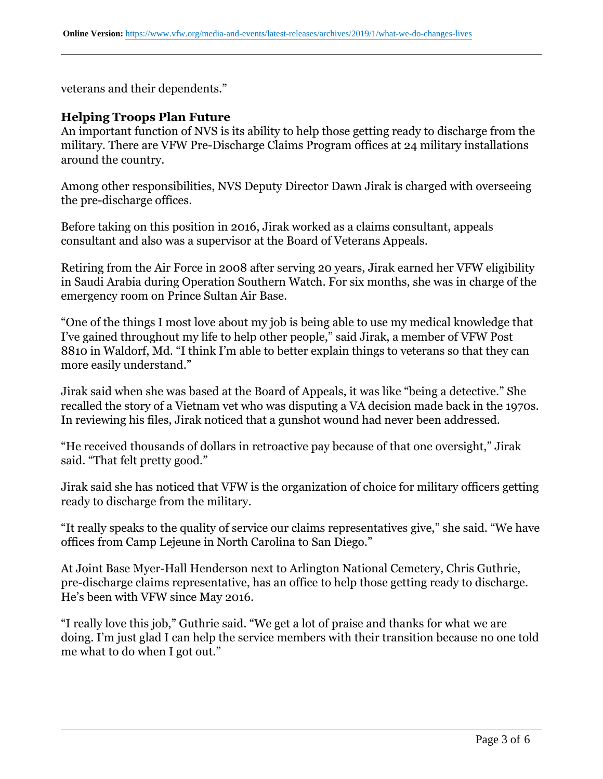veterans and their dependents."

#### **Helping Troops Plan Future**

An important function of NVS is its ability to help those getting ready to discharge from the military. There are VFW Pre-Discharge Claims Program offices at 24 military installations around the country.

Among other responsibilities, NVS Deputy Director Dawn Jirak is charged with overseeing the pre-discharge offices.

Before taking on this position in 2016, Jirak worked as a claims consultant, appeals consultant and also was a supervisor at the Board of Veterans Appeals.

Retiring from the Air Force in 2008 after serving 20 years, Jirak earned her VFW eligibility in Saudi Arabia during Operation Southern Watch. For six months, she was in charge of the emergency room on Prince Sultan Air Base.

"One of the things I most love about my job is being able to use my medical knowledge that I've gained throughout my life to help other people," said Jirak, a member of VFW Post 8810 in Waldorf, Md. "I think I'm able to better explain things to veterans so that they can more easily understand."

Jirak said when she was based at the Board of Appeals, it was like "being a detective." She recalled the story of a Vietnam vet who was disputing a VA decision made back in the 1970s. In reviewing his files, Jirak noticed that a gunshot wound had never been addressed.

"He received thousands of dollars in retroactive pay because of that one oversight," Jirak said. "That felt pretty good."

Jirak said she has noticed that VFW is the organization of choice for military officers getting ready to discharge from the military.

"It really speaks to the quality of service our claims representatives give," she said. "We have offices from Camp Lejeune in North Carolina to San Diego."

At Joint Base Myer-Hall Henderson next to Arlington National Cemetery, Chris Guthrie, pre-discharge claims representative, has an office to help those getting ready to discharge. He's been with VFW since May 2016.

"I really love this job," Guthrie said. "We get a lot of praise and thanks for what we are doing. I'm just glad I can help the service members with their transition because no one told me what to do when I got out."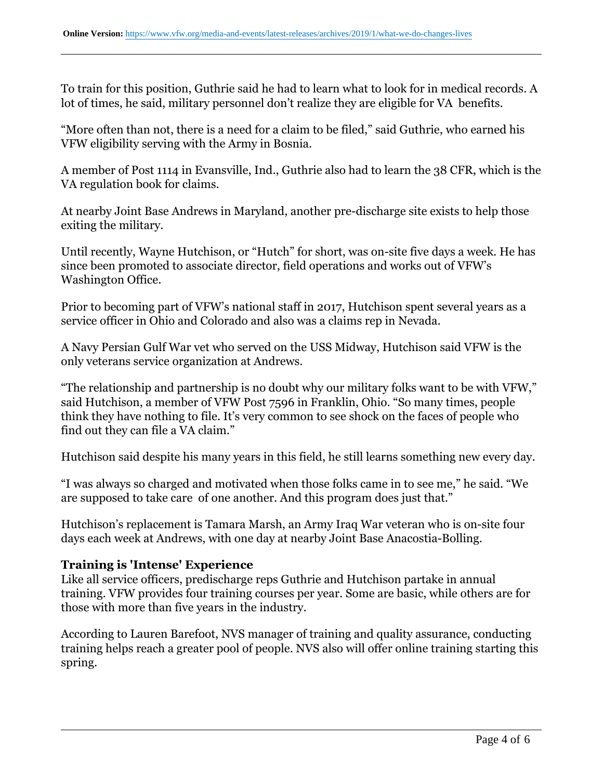To train for this position, Guthrie said he had to learn what to look for in medical records. A lot of times, he said, military personnel don't realize they are eligible for VA benefits.

"More often than not, there is a need for a claim to be filed," said Guthrie, who earned his VFW eligibility serving with the Army in Bosnia.

A member of Post 1114 in Evansville, Ind., Guthrie also had to learn the 38 CFR, which is the VA regulation book for claims.

At nearby Joint Base Andrews in Maryland, another pre-discharge site exists to help those exiting the military.

Until recently, Wayne Hutchison, or "Hutch" for short, was on-site five days a week. He has since been promoted to associate director, field operations and works out of VFW's Washington Office.

Prior to becoming part of VFW's national staff in 2017, Hutchison spent several years as a service officer in Ohio and Colorado and also was a claims rep in Nevada.

A Navy Persian Gulf War vet who served on the USS Midway, Hutchison said VFW is the only veterans service organization at Andrews.

"The relationship and partnership is no doubt why our military folks want to be with VFW," said Hutchison, a member of VFW Post 7596 in Franklin, Ohio. "So many times, people think they have nothing to file. It's very common to see shock on the faces of people who find out they can file a VA claim."

Hutchison said despite his many years in this field, he still learns something new every day.

"I was always so charged and motivated when those folks came in to see me," he said. "We are supposed to take care of one another. And this program does just that."

Hutchison's replacement is Tamara Marsh, an Army Iraq War veteran who is on-site four days each week at Andrews, with one day at nearby Joint Base Anacostia-Bolling.

## **Training is 'Intense' Experience**

Like all service officers, predischarge reps Guthrie and Hutchison partake in annual training. VFW provides four training courses per year. Some are basic, while others are for those with more than five years in the industry.

According to Lauren Barefoot, NVS manager of training and quality assurance, conducting training helps reach a greater pool of people. NVS also will offer online training starting this spring.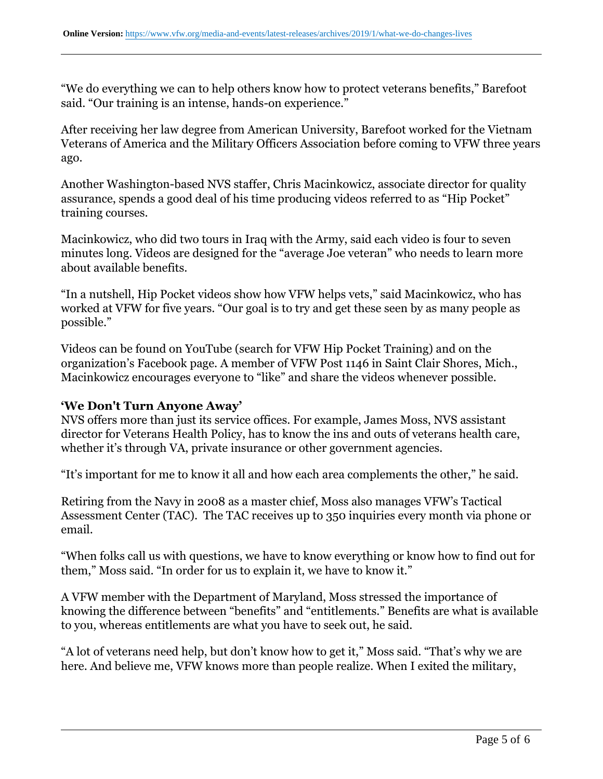"We do everything we can to help others know how to protect veterans benefits," Barefoot said. "Our training is an intense, hands-on experience."

After receiving her law degree from American University, Barefoot worked for the Vietnam Veterans of America and the Military Officers Association before coming to VFW three years ago.

Another Washington-based NVS staffer, Chris Macinkowicz, associate director for quality assurance, spends a good deal of his time producing videos referred to as "Hip Pocket" training courses.

Macinkowicz, who did two tours in Iraq with the Army, said each video is four to seven minutes long. Videos are designed for the "average Joe veteran" who needs to learn more about available benefits.

"In a nutshell, Hip Pocket videos show how VFW helps vets," said Macinkowicz, who has worked at VFW for five years. "Our goal is to try and get these seen by as many people as possible."

Videos can be found on YouTube (search for VFW Hip Pocket Training) and on the organization's Facebook page. A member of VFW Post 1146 in Saint Clair Shores, Mich., Macinkowicz encourages everyone to "like" and share the videos whenever possible.

## **'We Don't Turn Anyone Away'**

NVS offers more than just its service offices. For example, James Moss, NVS assistant director for Veterans Health Policy, has to know the ins and outs of veterans health care, whether it's through VA, private insurance or other government agencies.

"It's important for me to know it all and how each area complements the other," he said.

Retiring from the Navy in 2008 as a master chief, Moss also manages VFW's Tactical Assessment Center (TAC). The TAC receives up to 350 inquiries every month via phone or email.

"When folks call us with questions, we have to know everything or know how to find out for them," Moss said. "In order for us to explain it, we have to know it."

A VFW member with the Department of Maryland, Moss stressed the importance of knowing the difference between "benefits" and "entitlements." Benefits are what is available to you, whereas entitlements are what you have to seek out, he said.

"A lot of veterans need help, but don't know how to get it," Moss said. "That's why we are here. And believe me, VFW knows more than people realize. When I exited the military,